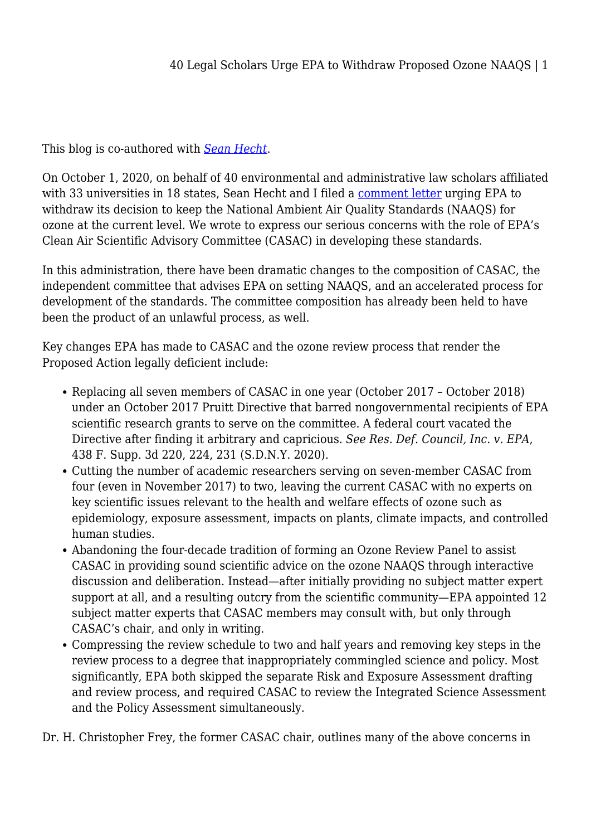This blog is co-authored with *[Sean Hecht](https://legal-planet.org/contributor/sbhecht/)*.

On October 1, 2020, on behalf of 40 environmental and administrative law scholars affiliated with 33 universities in 18 states, Sean Hecht and I filed a [comment letter](https://law.ucla.edu/sites/default/files/PDFs/Publications/Emmett%20Institute/Legal%20scholar%20comment%20letter%20EPA-HQ-OAR-2018-0279.pdf) urging EPA to withdraw its decision to keep the National Ambient Air Quality Standards (NAAQS) for ozone at the current level. We wrote to express our serious concerns with the role of EPA's Clean Air Scientific Advisory Committee (CASAC) in developing these standards.

In this administration, there have been dramatic changes to the composition of CASAC, the independent committee that advises EPA on setting NAAQS, and an accelerated process for development of the standards. The committee composition has already been held to have been the product of an unlawful process, as well.

Key changes EPA has made to CASAC and the ozone review process that render the Proposed Action legally deficient include:

- Replacing all seven members of CASAC in one year (October 2017 October 2018) under an October 2017 Pruitt Directive that barred nongovernmental recipients of EPA scientific research grants to serve on the committee. A federal court vacated the Directive after finding it arbitrary and capricious. *See Res. Def. Council, Inc. v. EPA*, 438 F. Supp. 3d 220, 224, 231 (S.D.N.Y. 2020).
- Cutting the number of academic researchers serving on seven-member CASAC from four (even in November 2017) to two, leaving the current CASAC with no experts on key scientific issues relevant to the health and welfare effects of ozone such as epidemiology, exposure assessment, impacts on plants, climate impacts, and controlled human studies.
- Abandoning the four-decade tradition of forming an Ozone Review Panel to assist CASAC in providing sound scientific advice on the ozone NAAQS through interactive discussion and deliberation. Instead—after initially providing no subject matter expert support at all, and a resulting outcry from the scientific community—EPA appointed 12 subject matter experts that CASAC members may consult with, but only through CASAC's chair, and only in writing.
- Compressing the review schedule to two and half years and removing key steps in the review process to a degree that inappropriately commingled science and policy. Most significantly, EPA both skipped the separate Risk and Exposure Assessment drafting and review process, and required CASAC to review the Integrated Science Assessment and the Policy Assessment simultaneously.

Dr. H. Christopher Frey, the former CASAC chair, outlines many of the above concerns in